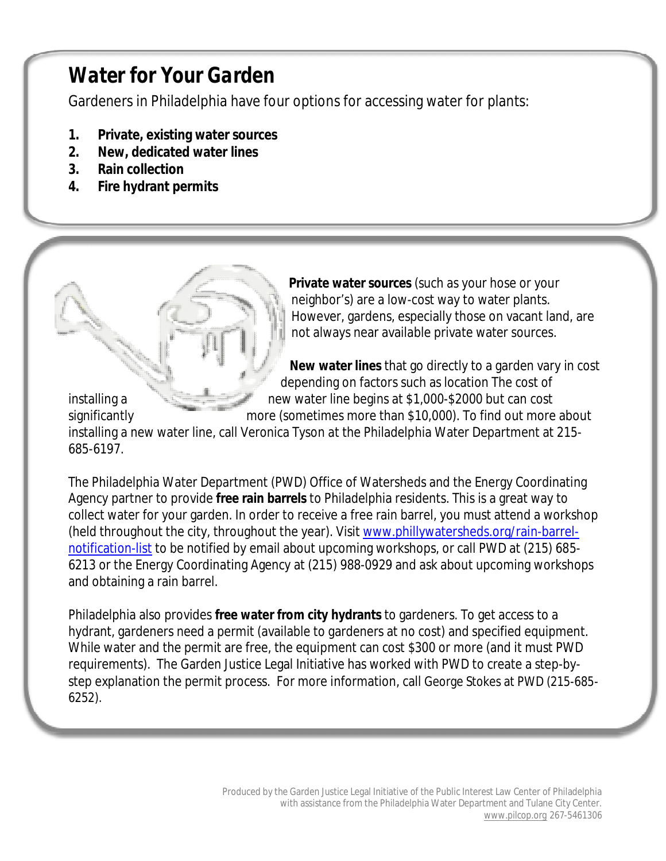# *Water for Your Garden*

Gardeners in Philadelphia have four options for accessing water for plants:

- **1. Private, existing water sources**
- **2. New, dedicated water lines**
- **3. Rain collection**
- **4. Fire hydrant permits**

**Private water sources** (such as your hose or your neighbor's) are a low-cost way to water plants. However, gardens, especially those on vacant land, are not always near available private water sources.

**New water lines** that go directly to a garden vary in cost depending on factors such as location The cost of

installing a new water line begins at \$1,000-\$2000 but can cost significantly more (sometimes more than \$10,000). To find out more about installing a new water line, call Veronica Tyson at the Philadelphia Water Department at 215- 685-6197.

The Philadelphia Water Department (PWD) Office of Watersheds and the Energy Coordinating Agency partner to provide **free rain barrels** to Philadelphia residents. This is a great way to collect water for your garden. In order to receive a free rain barrel, you must attend a workshop (held throughout the city, throughout the year). Visit www.phillywatersheds.org/rain-barrelnotification-list to be notified by email about upcoming workshops, or call PWD at (215) 685- 6213 or the Energy Coordinating Agency at (215) 988-0929 and ask about upcoming workshops and obtaining a rain barrel.

Philadelphia also provides **free water from city hydrants** to gardeners. To get access to a hydrant, gardeners need a permit (available to gardeners at no cost) and specified equipment. While water and the permit are free, the equipment can cost \$300 or more (and it must PWD requirements). The Garden Justice Legal Initiative has worked with PWD to create a step-bystep explanation the permit process. For more information, call George Stokes at PWD (215-685- 6252).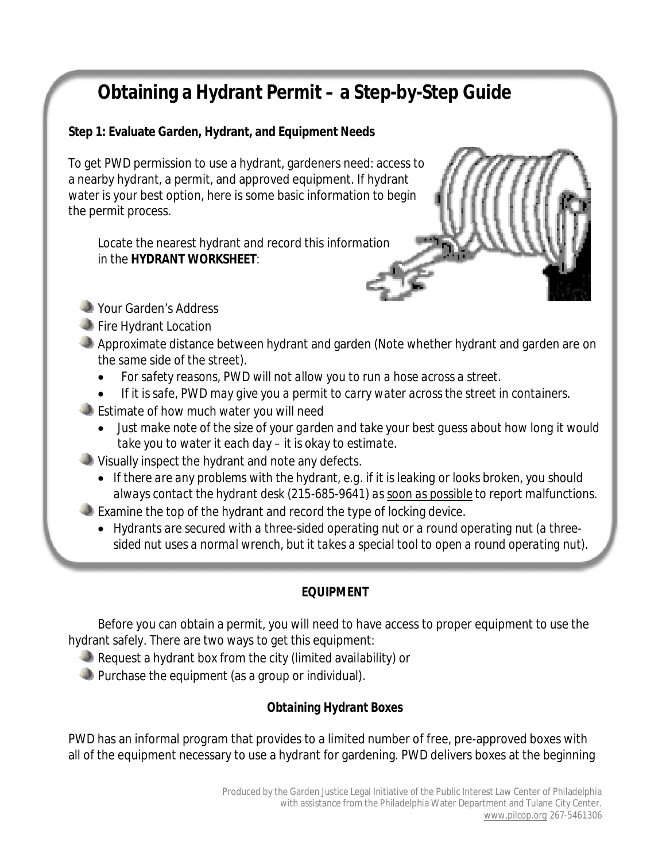# **Obtaining a Hydrant Permit – a Step-by-Step Guide**

## **Step 1: Evaluate Garden, Hydrant, and Equipment Needs**

To get PWD permission to use a hydrant, gardeners need: access to a nearby hydrant, a permit, and approved equipment. If hydrant water is your best option, here is some basic information to begin the permit process.

Locate the nearest hydrant and record this information in the **HYDRANT WORKSHEET**:



- Your Garden's Address
- **Fire Hydrant Location**
- Approximate distance between hydrant and garden (Note whether hydrant and garden are on the same side of the street).
	- *For safety reasons, PWD will not allow you to run a hose across a street.*
	- *If it is safe, PWD may give you a permit to carry water across the street in containers.*
- **Estimate of how much water you will need** 
	- *Just make note of the size of your garden and take your best guess about how long it would take you to water it each day – it is okay to estimate.*
- Visually inspect the hydrant and note any defects.
	- *If there are any problems with the hydrant, e.g. if it is leaking or looks broken, you should always contact the hydrant desk (215-685-9641) as soon as possible to report malfunctions.*
- Examine the top of the hydrant and record the type of locking device.
	- *Hydrants are secured with a three-sided operating nut or a round operating nut (a threesided nut uses a normal wrench, but it takes a special tool to open a round operating nut).*

## *EQUIPMENT*

Before you can obtain a permit, you will need to have access to proper equipment to use the hydrant safely. There are two ways to get this equipment:

- Request a hydrant box from the city (limited availability) or
- **Purchase the equipment (as a group or individual).**

## *Obtaining Hydrant Boxes*

PWD has an informal program that provides to a limited number of free, pre-approved boxes with all of the equipment necessary to use a hydrant for gardening. PWD delivers boxes at the beginning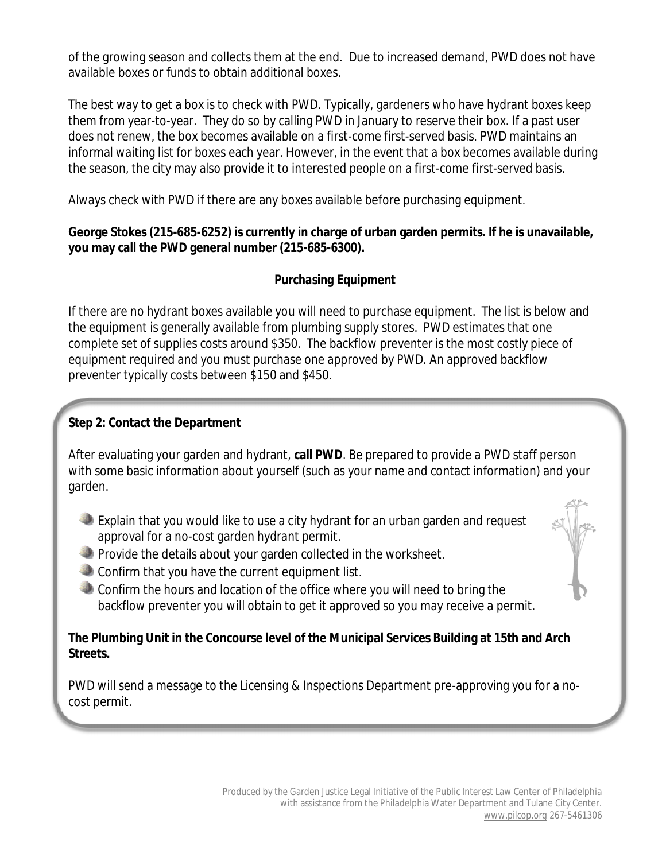of the growing season and collects them at the end. Due to increased demand, PWD does not have available boxes or funds to obtain additional boxes.

The best way to get a box is to check with PWD. Typically, gardeners who have hydrant boxes keep them from year-to-year. They do so by calling PWD in January to reserve their box. If a past user does not renew, the box becomes available on a first-come first-served basis. PWD maintains an informal waiting list for boxes each year. However, in the event that a box becomes available during the season, the city may also provide it to interested people on a first-come first-served basis.

Always check with PWD if there are any boxes available before purchasing equipment.

### **George Stokes (215-685-6252) is currently in charge of urban garden permits. If he is unavailable, you may call the PWD general number (215-685-6300).**

## *Purchasing Equipment*

If there are no hydrant boxes available you will need to purchase equipment. The list is below and the equipment is generally available from plumbing supply stores. PWD estimates that one complete set of supplies costs around \$350. The backflow preventer is the most costly piece of equipment required and you must purchase one approved by PWD. An approved backflow preventer typically costs between \$150 and \$450.

## **Step 2: Contact the Department**

After evaluating your garden and hydrant, **call PWD**. Be prepared to provide a PWD staff person with some basic information about yourself (such as your name and contact information) and your garden.

- Explain that you would like to use a city hydrant for an urban garden and request approval for a no-cost garden hydrant permit.
- **Provide the details about your garden collected in the worksheet.**
- Confirm that you have the current equipment list.
- Confirm the hours and location of the office where you will need to bring the backflow preventer you will obtain to get it approved so you may receive a permit.

#### **The Plumbing Unit in the Concourse level of the Municipal Services Building at 15th and Arch Streets.**

PWD will send a message to the Licensing & Inspections Department pre-approving you for a nocost permit.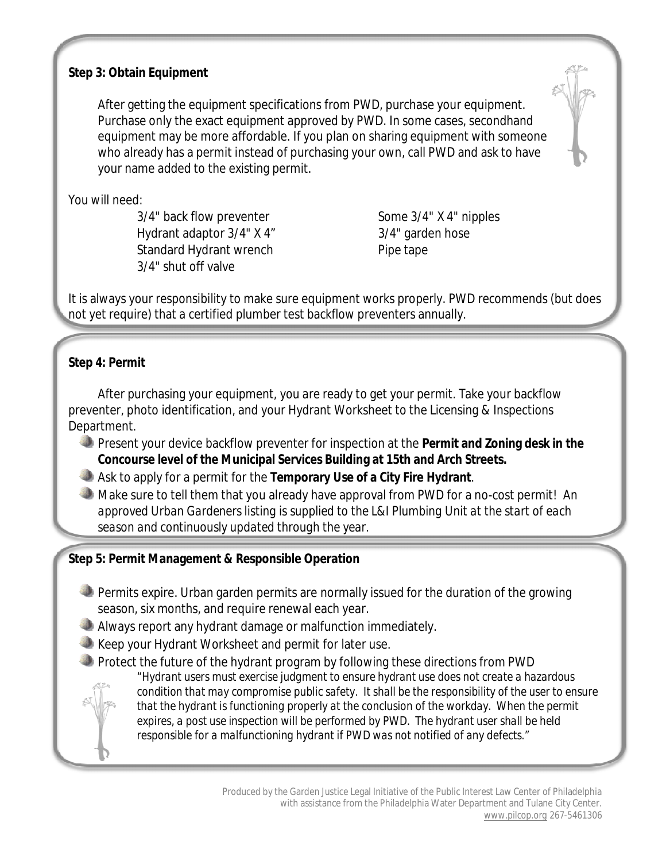#### **Step 3: Obtain Equipment**

After getting the equipment specifications from PWD, purchase your equipment. Purchase only the exact equipment approved by PWD. In some cases, secondhand equipment may be more affordable. If you plan on sharing equipment with someone who already has a permit instead of purchasing your own, call PWD and ask to have your name added to the existing permit.

You will need:

3/4" back flow preventer Some 3/4" X 4" nipples Hydrant adaptor 3/4" X 4" 3/4" garden hose Standard Hydrant wrench Pipe tape 3/4" shut off valve

It is always your responsibility to make sure equipment works properly. PWD recommends (but does not yet require) that a certified plumber test backflow preventers annually.

## **Step 4: Permit**

After purchasing your equipment, you are ready to get your permit. Take your backflow preventer, photo identification, and your Hydrant Worksheet to the Licensing & Inspections Department.

- Present your device backflow preventer for inspection at the **Permit and Zoning desk in the Concourse level of the Municipal Services Building at 15th and Arch Streets.**
- Ask to apply for a permit for the **Temporary Use of a City Fire Hydrant**.
- Make sure to tell them that you already have approval from PWD for a no-cost permit! *An approved Urban Gardeners listing is supplied to the L&I Plumbing Unit at the start of each season and continuously updated through the year.*

## **Step 5: Permit Management & Responsible Operation**

- Permits expire. Urban garden permits are normally issued for the duration of the growing season, six months, and require renewal each year.
- Always report any hydrant damage or malfunction immediately.
- Keep your Hydrant Worksheet and permit for later use.
- Protect the future of the hydrant program by following these directions from PWD

*"Hydrant users must exercise judgment to ensure hydrant use does not create a hazardous condition that may compromise public safety. It shall be the responsibility of the user to ensure that the hydrant is functioning properly at the conclusion of the workday. When the permit expires, a post use inspection will be performed by PWD. The hydrant user shall be held responsible for a malfunctioning hydrant if PWD was not notified of any defects."*